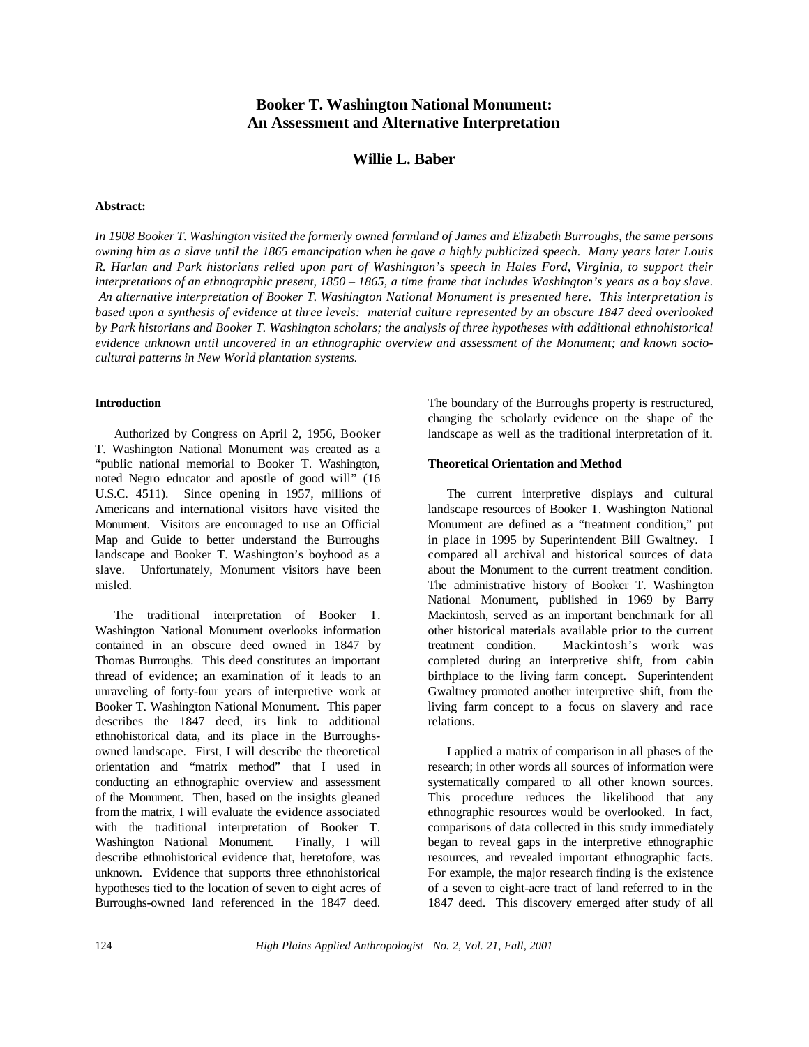# **Booker T. Washington National Monument: An Assessment and Alternative Interpretation**

# **Willie L. Baber**

#### **Abstract:**

*In 1908 Booker T. Washington visited the formerly owned farmland of James and Elizabeth Burroughs, the same persons* owning him as a slave until the 1865 emancipation when he gave a highly publicized speech. Many years later Louis *R. Harlan and Park historians relied upon part of Washington's speech in Hales Ford, Virginia, to support their interpretations of an ethnographic present, 1850 – 1865, a time frame that includes Washington's years as a boy slave. An alternative interpretation of Booker T. Washington National Monument is presented here. This interpretation is based upon a synthesis of evidence at three levels: material culture represented by an obscure 1847 deed overlooked by Park historians and Booker T. Washington scholars; the analysis of three hypotheses with additional ethnohistorical evidence unknown until uncovered in an ethnographic overview and assessment of the Monument; and known sociocultural patterns in New World plantation systems.*

#### **Introduction**

Authorized by Congress on April 2, 1956, Booker T. Washington National Monument was created as a "public national memorial to Booker T. Washington, noted Negro educator and apostle of good will" (16 U.S.C. 4511). Since opening in 1957, millions of Americans and international visitors have visited the Monument. Visitors are encouraged to use an Official Map and Guide to better understand the Burroughs landscape and Booker T. Washington's boyhood as a slave. Unfortunately, Monument visitors have been misled.

The traditional interpretation of Booker T. Washington National Monument overlooks information contained in an obscure deed owned in 1847 by Thomas Burroughs. This deed constitutes an important thread of evidence; an examination of it leads to an unraveling of forty-four years of interpretive work at Booker T. Washington National Monument. This paper describes the 1847 deed, its link to additional ethnohistorical data, and its place in the Burroughsowned landscape. First, I will describe the theoretical orientation and "matrix method" that I used in conducting an ethnographic overview and assessment of the Monument. Then, based on the insights gleaned from the matrix, I will evaluate the evidence associated with the traditional interpretation of Booker T. Washington National Monument. Finally, I will describe ethnohistorical evidence that, heretofore, was unknown. Evidence that supports three ethnohistorical hypotheses tied to the location of seven to eight acres of Burroughs-owned land referenced in the 1847 deed.

The boundary of the Burroughs property is restructured, changing the scholarly evidence on the shape of the landscape as well as the traditional interpretation of it.

#### **Theoretical Orientation and Method**

The current interpretive displays and cultural landscape resources of Booker T. Washington National Monument are defined as a "treatment condition," put in place in 1995 by Superintendent Bill Gwaltney. I compared all archival and historical sources of data about the Monument to the current treatment condition. The administrative history of Booker T. Washington National Monument, published in 1969 by Barry Mackintosh, served as an important benchmark for all other historical materials available prior to the current treatment condition. Mackintosh's work was completed during an interpretive shift, from cabin birthplace to the living farm concept. Superintendent Gwaltney promoted another interpretive shift, from the living farm concept to a focus on slavery and race relations.

I applied a matrix of comparison in all phases of the research; in other words all sources of information were systematically compared to all other known sources. This procedure reduces the likelihood that any ethnographic resources would be overlooked. In fact, comparisons of data collected in this study immediately began to reveal gaps in the interpretive ethnographic resources, and revealed important ethnographic facts. For example, the major research finding is the existence of a seven to eight-acre tract of land referred to in the 1847 deed. This discovery emerged after study of all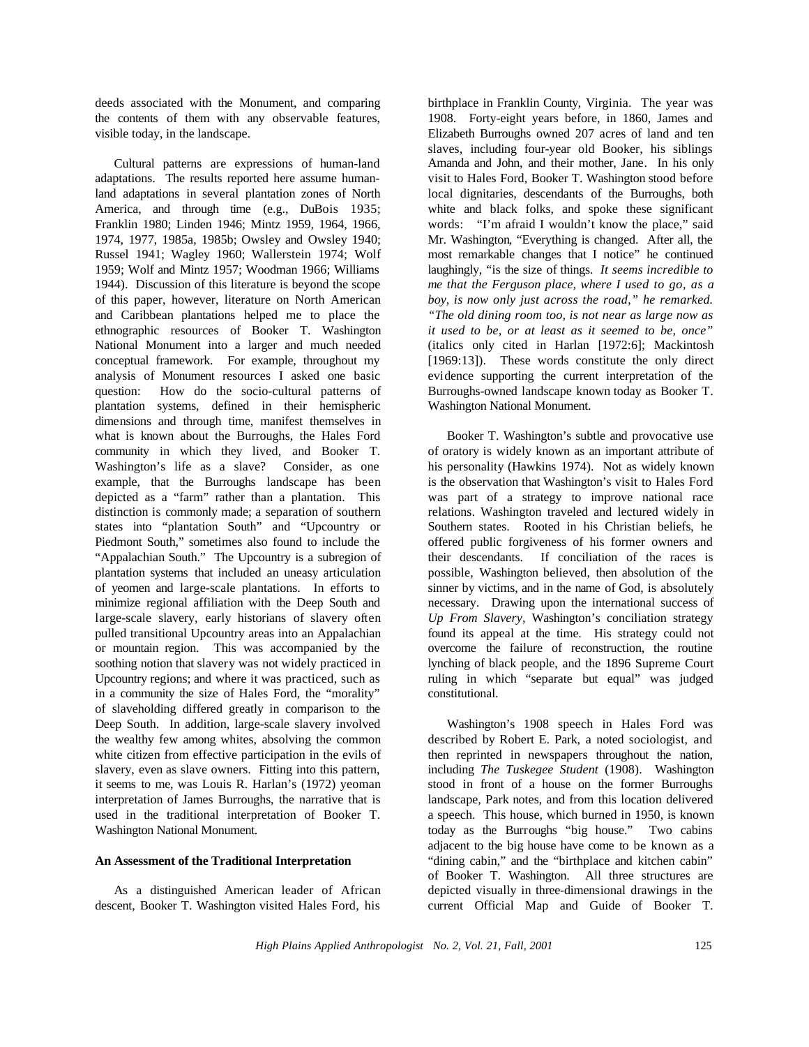deeds associated with the Monument, and comparing the contents of them with any observable features, visible today, in the landscape.

Cultural patterns are expressions of human-land adaptations. The results reported here assume humanland adaptations in several plantation zones of North America, and through time (e.g., DuBois 1935; Franklin 1980; Linden 1946; Mintz 1959, 1964, 1966, 1974, 1977, 1985a, 1985b; Owsley and Owsley 1940; Russel 1941; Wagley 1960; Wallerstein 1974; Wolf 1959; Wolf and Mintz 1957; Woodman 1966; Williams 1944). Discussion of this literature is beyond the scope of this paper, however, literature on North American and Caribbean plantations helped me to place the ethnographic resources of Booker T. Washington National Monument into a larger and much needed conceptual framework. For example, throughout my analysis of Monument resources I asked one basic question: How do the socio-cultural patterns of plantation systems, defined in their hemispheric dimensions and through time, manifest themselves in what is known about the Burroughs, the Hales Ford community in which they lived, and Booker T. Washington's life as a slave? Consider, as one example, that the Burroughs landscape has been depicted as a "farm" rather than a plantation. This distinction is commonly made; a separation of southern states into "plantation South" and "Upcountry or Piedmont South," sometimes also found to include the "Appalachian South." The Upcountry is a subregion of plantation systems that included an uneasy articulation of yeomen and large-scale plantations. In efforts to minimize regional affiliation with the Deep South and large-scale slavery, early historians of slavery often pulled transitional Upcountry areas into an Appalachian or mountain region. This was accompanied by the soothing notion that slavery was not widely practiced in Upcountry regions; and where it was practiced, such as in a community the size of Hales Ford, the "morality" of slaveholding differed greatly in comparison to the Deep South. In addition, large-scale slavery involved the wealthy few among whites, absolving the common white citizen from effective participation in the evils of slavery, even as slave owners. Fitting into this pattern, it seems to me, was Louis R. Harlan's (1972) yeoman interpretation of James Burroughs, the narrative that is used in the traditional interpretation of Booker T. Washington National Monument.

# **An Assessment of the Traditional Interpretation**

As a distinguished American leader of African descent, Booker T. Washington visited Hales Ford, his

birthplace in Franklin County, Virginia. The year was 1908. Forty-eight years before, in 1860, James and Elizabeth Burroughs owned 207 acres of land and ten slaves, including four-year old Booker, his siblings Amanda and John, and their mother, Jane. In his only visit to Hales Ford, Booker T. Washington stood before local dignitaries, descendants of the Burroughs, both white and black folks, and spoke these significant words: "I'm afraid I wouldn't know the place," said Mr. Washington, "Everything is changed. After all, the most remarkable changes that I notice" he continued laughingly, "is the size of things. *It seems incredible to me that the Ferguson place, where I used to go, as a boy, is now only just across the road," he remarked. "The old dining room too, is not near as large now as it used to be, or at least as it seemed to be, once"* (italics only cited in Harlan [1972:6]; Mackintosh [1969:13]). These words constitute the only direct evidence supporting the current interpretation of the Burroughs-owned landscape known today as Booker T. Washington National Monument.

Booker T. Washington's subtle and provocative use of oratory is widely known as an important attribute of his personality (Hawkins 1974). Not as widely known is the observation that Washington's visit to Hales Ford was part of a strategy to improve national race relations. Washington traveled and lectured widely in Southern states. Rooted in his Christian beliefs, he offered public forgiveness of his former owners and their descendants. If conciliation of the races is possible, Washington believed, then absolution of the sinner by victims, and in the name of God, is absolutely necessary. Drawing upon the international success of *Up From Slavery*, Washington's conciliation strategy found its appeal at the time. His strategy could not overcome the failure of reconstruction, the routine lynching of black people, and the 1896 Supreme Court ruling in which "separate but equal" was judged constitutional.

Washington's 1908 speech in Hales Ford was described by Robert E. Park, a noted sociologist, and then reprinted in newspapers throughout the nation, including *The Tuskegee Student* (1908). Washington stood in front of a house on the former Burroughs landscape, Park notes, and from this location delivered a speech. This house, which burned in 1950, is known today as the Burroughs "big house." Two cabins adjacent to the big house have come to be known as a "dining cabin," and the "birthplace and kitchen cabin" of Booker T. Washington. All three structures are depicted visually in three-dimensional drawings in the current Official Map and Guide of Booker T.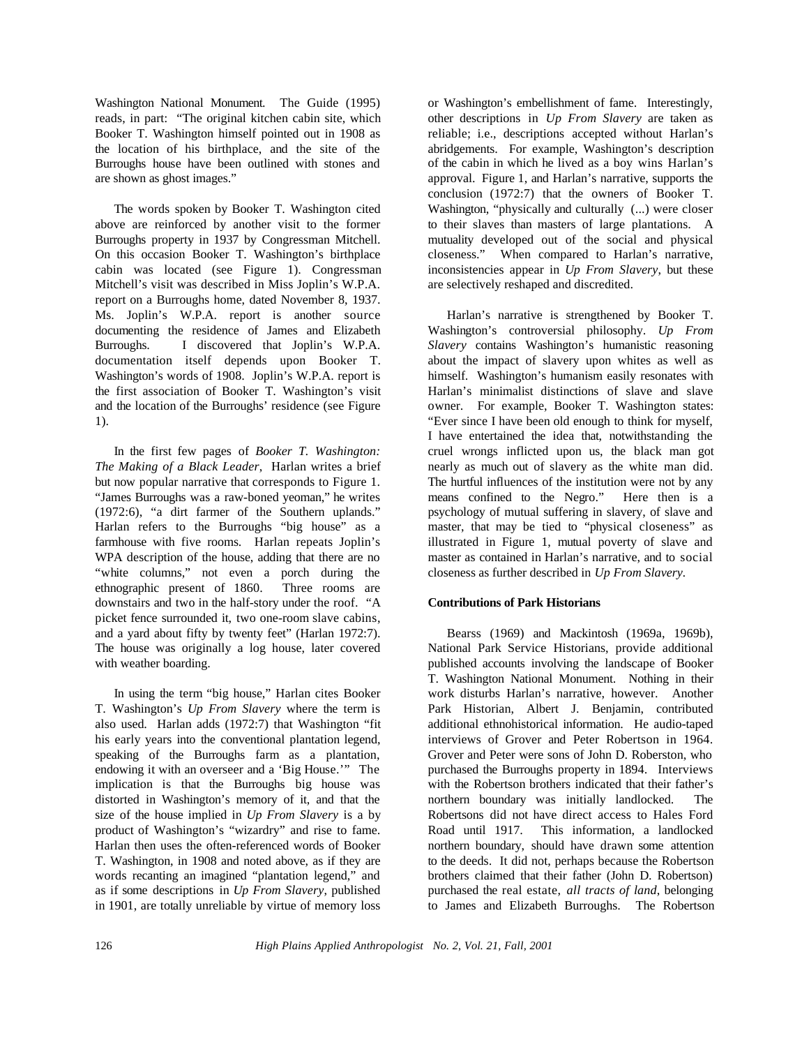Washington National Monument. The Guide (1995) reads, in part: "The original kitchen cabin site, which Booker T. Washington himself pointed out in 1908 as the location of his birthplace, and the site of the Burroughs house have been outlined with stones and are shown as ghost images."

The words spoken by Booker T. Washington cited above are reinforced by another visit to the former Burroughs property in 1937 by Congressman Mitchell. On this occasion Booker T. Washington's birthplace cabin was located (see Figure 1). Congressman Mitchell's visit was described in Miss Joplin's W.P.A. report on a Burroughs home, dated November 8, 1937. Ms. Joplin's W.P.A. report is another source documenting the residence of James and Elizabeth Burroughs. I discovered that Joplin's W.P.A. documentation itself depends upon Booker T. Washington's words of 1908. Joplin's W.P.A. report is the first association of Booker T. Washington's visit and the location of the Burroughs' residence (see Figure 1).

In the first few pages of *Booker T. Washington: The Making of a Black Leader*, Harlan writes a brief but now popular narrative that corresponds to Figure 1. "James Burroughs was a raw-boned yeoman," he writes (1972:6), "a dirt farmer of the Southern uplands." Harlan refers to the Burroughs "big house" as a farmhouse with five rooms. Harlan repeats Joplin's WPA description of the house, adding that there are no "white columns," not even a porch during the ethnographic present of 1860. Three rooms are downstairs and two in the half-story under the roof. "A picket fence surrounded it, two one-room slave cabins, and a yard about fifty by twenty feet" (Harlan 1972:7). The house was originally a log house, later covered with weather boarding.

In using the term "big house," Harlan cites Booker T. Washington's *Up From Slavery* where the term is also used. Harlan adds (1972:7) that Washington "fit his early years into the conventional plantation legend, speaking of the Burroughs farm as a plantation, endowing it with an overseer and a 'Big House.'" The implication is that the Burroughs big house was distorted in Washington's memory of it, and that the size of the house implied in *Up From Slavery* is a by product of Washington's "wizardry" and rise to fame. Harlan then uses the often-referenced words of Booker T. Washington, in 1908 and noted above, as if they are words recanting an imagined "plantation legend," and as if some descriptions in *Up From Slavery*, published in 1901, are totally unreliable by virtue of memory loss

or Washington's embellishment of fame. Interestingly, other descriptions in *Up From Slavery* are taken as reliable; i.e., descriptions accepted without Harlan's abridgements. For example, Washington's description of the cabin in which he lived as a boy wins Harlan's approval. Figure 1, and Harlan's narrative, supports the conclusion (1972:7) that the owners of Booker T. Washington, "physically and culturally (...) were closer to their slaves than masters of large plantations. A mutuality developed out of the social and physical closeness." When compared to Harlan's narrative, inconsistencies appear in *Up From Slavery*, but these are selectively reshaped and discredited.

Harlan's narrative is strengthened by Booker T. Washington's controversial philosophy. *Up From Slavery* contains Washington's humanistic reasoning about the impact of slavery upon whites as well as himself. Washington's humanism easily resonates with Harlan's minimalist distinctions of slave and slave owner. For example, Booker T. Washington states: "Ever since I have been old enough to think for myself, I have entertained the idea that, notwithstanding the cruel wrongs inflicted upon us, the black man got nearly as much out of slavery as the white man did. The hurtful influences of the institution were not by any means confined to the Negro." Here then is a psychology of mutual suffering in slavery, of slave and master, that may be tied to "physical closeness" as illustrated in Figure 1, mutual poverty of slave and master as contained in Harlan's narrative, and to social closeness as further described in *Up From Slavery.*

# **Contributions of Park Historians**

Bearss (1969) and Mackintosh (1969a, 1969b), National Park Service Historians, provide additional published accounts involving the landscape of Booker T. Washington National Monument. Nothing in their work disturbs Harlan's narrative, however. Another Park Historian, Albert J. Benjamin, contributed additional ethnohistorical information. He audio-taped interviews of Grover and Peter Robertson in 1964. Grover and Peter were sons of John D. Roberston, who purchased the Burroughs property in 1894. Interviews with the Robertson brothers indicated that their father's northern boundary was initially landlocked. The Robertsons did not have direct access to Hales Ford Road until 1917. This information, a landlocked northern boundary, should have drawn some attention to the deeds. It did not, perhaps because the Robertson brothers claimed that their father (John D. Robertson) purchased the real estate, *all tracts of land*, belonging to James and Elizabeth Burroughs. The Robertson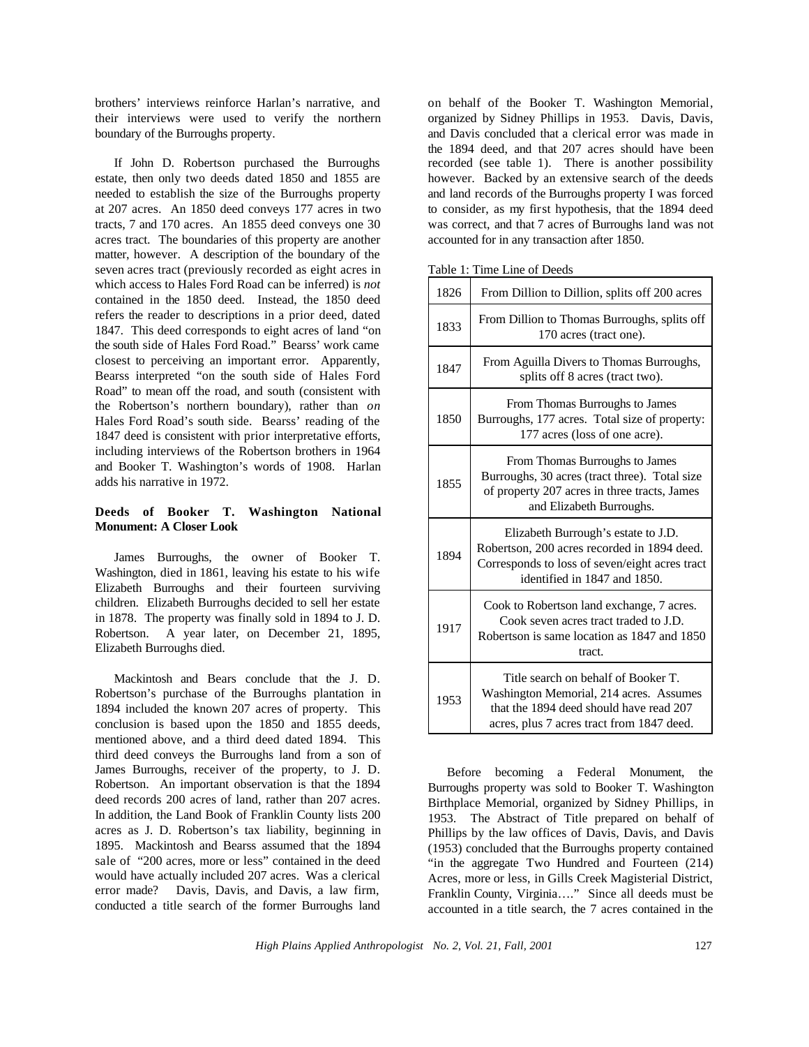brothers' interviews reinforce Harlan's narrative, and their interviews were used to verify the northern boundary of the Burroughs property.

If John D. Robertson purchased the Burroughs estate, then only two deeds dated 1850 and 1855 are needed to establish the size of the Burroughs property at 207 acres. An 1850 deed conveys 177 acres in two tracts, 7 and 170 acres. An 1855 deed conveys one 30 acres tract. The boundaries of this property are another matter, however. A description of the boundary of the seven acres tract (previously recorded as eight acres in which access to Hales Ford Road can be inferred) is *not* contained in the 1850 deed. Instead, the 1850 deed refers the reader to descriptions in a prior deed, dated 1847. This deed corresponds to eight acres of land "on the south side of Hales Ford Road." Bearss' work came closest to perceiving an important error. Apparently, Bearss interpreted "on the south side of Hales Ford Road" to mean off the road, and south (consistent with the Robertson's northern boundary), rather than *on* Hales Ford Road's south side. Bearss' reading of the 1847 deed is consistent with prior interpretative efforts, including interviews of the Robertson brothers in 1964 and Booker T. Washington's words of 1908. Harlan adds his narrative in 1972.

# **Deeds of Booker T. Washington National Monument: A Closer Look**

James Burroughs, the owner of Booker T. Washington, died in 1861, leaving his estate to his wife Elizabeth Burroughs and their fourteen surviving children. Elizabeth Burroughs decided to sell her estate in 1878. The property was finally sold in 1894 to J. D. Robertson. A year later, on December 21, 1895, Elizabeth Burroughs died.

Mackintosh and Bears conclude that the J. D. Robertson's purchase of the Burroughs plantation in 1894 included the known 207 acres of property. This conclusion is based upon the 1850 and 1855 deeds, mentioned above, and a third deed dated 1894. This third deed conveys the Burroughs land from a son of James Burroughs, receiver of the property, to J. D. Robertson. An important observation is that the 1894 deed records 200 acres of land, rather than 207 acres. In addition, the Land Book of Franklin County lists 200 acres as J. D. Robertson's tax liability, beginning in 1895. Mackintosh and Bearss assumed that the 1894 sale of"200 acres, more or less" contained in the deed would have actually included 207 acres. Was a clerical error made? Davis, Davis, and Davis, a law firm, conducted a title search of the former Burroughs land

on behalf of the Booker T. Washington Memorial, organized by Sidney Phillips in 1953. Davis, Davis, and Davis concluded that a clerical error was made in the 1894 deed, and that 207 acres should have been recorded (see table 1). There is another possibility however. Backed by an extensive search of the deeds and land records of the Burroughs property I was forced to consider, as my first hypothesis, that the 1894 deed was correct, and that 7 acres of Burroughs land was not accounted for in any transaction after 1850.

Table 1: Time Line of Deeds

| 1826 | From Dillion to Dillion, splits off 200 acres                                                                                                                          |  |  |  |  |
|------|------------------------------------------------------------------------------------------------------------------------------------------------------------------------|--|--|--|--|
| 1833 | From Dillion to Thomas Burroughs, splits off<br>170 acres (tract one).                                                                                                 |  |  |  |  |
| 1847 | From Aguilla Divers to Thomas Burroughs,<br>splits off 8 acres (tract two).                                                                                            |  |  |  |  |
| 1850 | From Thomas Burroughs to James<br>Burroughs, 177 acres. Total size of property:<br>177 acres (loss of one acre).                                                       |  |  |  |  |
| 1855 | From Thomas Burroughs to James<br>Burroughs, 30 acres (tract three). Total size<br>of property 207 acres in three tracts, James<br>and Elizabeth Burroughs.            |  |  |  |  |
| 1894 | Elizabeth Burrough's estate to J.D.<br>Robertson, 200 acres recorded in 1894 deed.<br>Corresponds to loss of seven/eight acres tract<br>identified in 1847 and 1850.   |  |  |  |  |
| 1917 | Cook to Robertson land exchange, 7 acres.<br>Cook seven acres tract traded to J.D.<br>Robertson is same location as 1847 and 1850<br>tract.                            |  |  |  |  |
| 1953 | Title search on behalf of Booker T.<br>Washington Memorial, 214 acres. Assumes<br>that the 1894 deed should have read 207<br>acres, plus 7 acres tract from 1847 deed. |  |  |  |  |

Before becoming a Federal Monument, the Burroughs property was sold to Booker T. Washington Birthplace Memorial, organized by Sidney Phillips, in 1953. The Abstract of Title prepared on behalf of Phillips by the law offices of Davis, Davis, and Davis (1953) concluded that the Burroughs property contained "in the aggregate Two Hundred and Fourteen (214) Acres, more or less, in Gills Creek Magisterial District, Franklin County, Virginia…." Since all deeds must be accounted in a title search, the 7 acres contained in the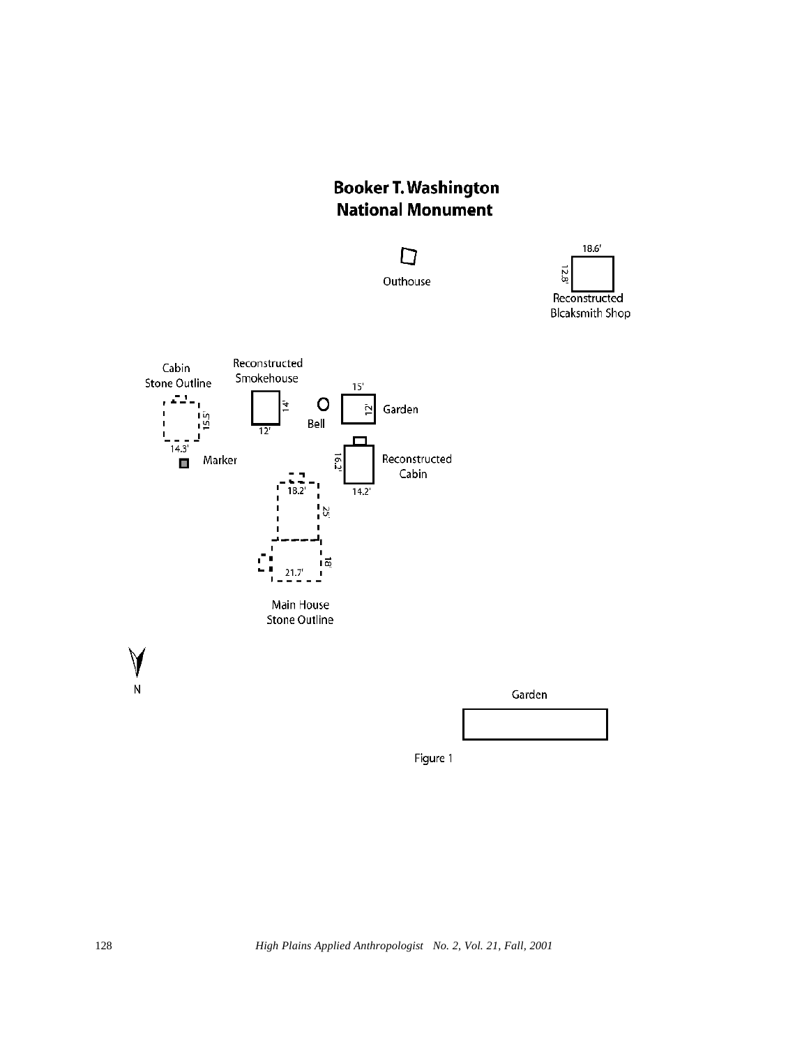# **Booker T. Washington National Monument**







Figure 1

128 *High Plains Applied Anthropologist No. 2, Vol. 21, Fall, 2001*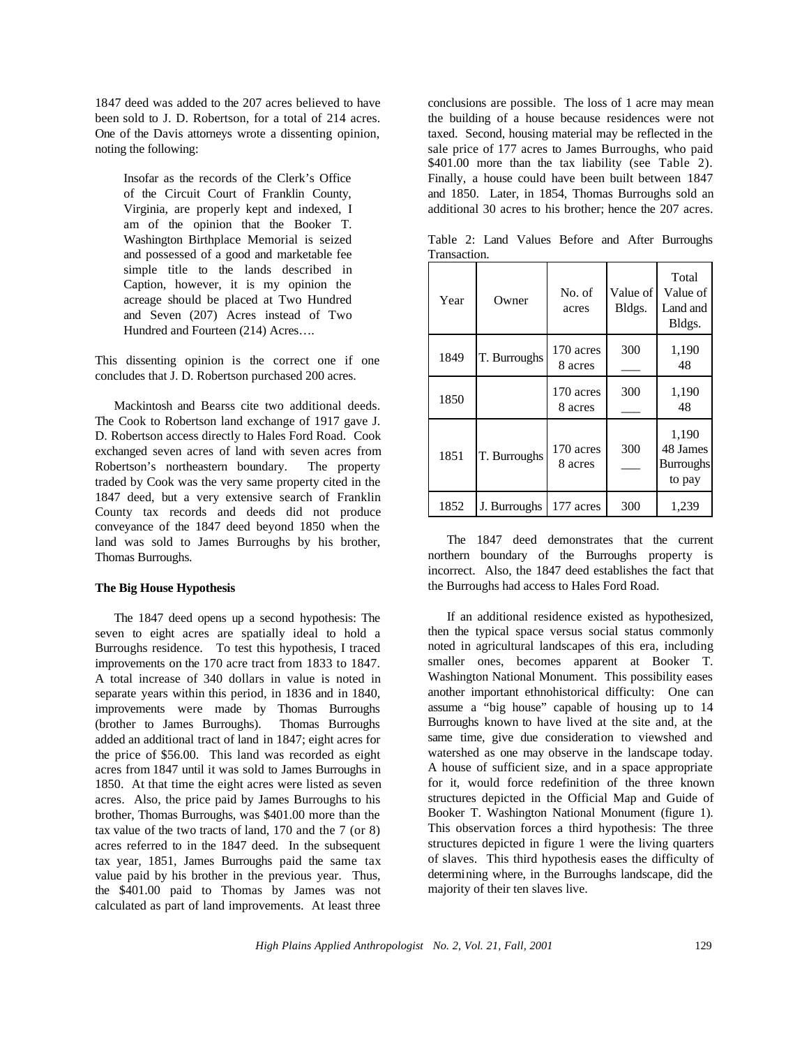1847 deed was added to the 207 acres believed to have been sold to J. D. Robertson, for a total of 214 acres. One of the Davis attorneys wrote a dissenting opinion, noting the following:

Insofar as the records of the Clerk's Office of the Circuit Court of Franklin County, Virginia, are properly kept and indexed, I am of the opinion that the Booker T. Washington Birthplace Memorial is seized and possessed of a good and marketable fee simple title to the lands described in Caption, however, it is my opinion the acreage should be placed at Two Hundred and Seven (207) Acres instead of Two Hundred and Fourteen (214) Acres….

This dissenting opinion is the correct one if one concludes that J. D. Robertson purchased 200 acres.

Mackintosh and Bearss cite two additional deeds. The Cook to Robertson land exchange of 1917 gave J. D. Robertson access directly to Hales Ford Road. Cook exchanged seven acres of land with seven acres from Robertson's northeastern boundary. The property traded by Cook was the very same property cited in the 1847 deed, but a very extensive search of Franklin County tax records and deeds did not produce conveyance of the 1847 deed beyond 1850 when the land was sold to James Burroughs by his brother, Thomas Burroughs.

## **The Big House Hypothesis**

The 1847 deed opens up a second hypothesis: The seven to eight acres are spatially ideal to hold a Burroughs residence. To test this hypothesis, I traced improvements on the 170 acre tract from 1833 to 1847. A total increase of 340 dollars in value is noted in separate years within this period, in 1836 and in 1840, improvements were made by Thomas Burroughs (brother to James Burroughs). Thomas Burroughs added an additional tract of land in 1847; eight acres for the price of \$56.00. This land was recorded as eight acres from 1847 until it was sold to James Burroughs in 1850. At that time the eight acres were listed as seven acres. Also, the price paid by James Burroughs to his brother, Thomas Burroughs, was \$401.00 more than the tax value of the two tracts of land, 170 and the 7 (or 8) acres referred to in the 1847 deed. In the subsequent tax year, 1851, James Burroughs paid the same tax value paid by his brother in the previous year. Thus, the \$401.00 paid to Thomas by James was not calculated as part of land improvements. At least three

conclusions are possible. The loss of 1 acre may mean the building of a house because residences were not taxed. Second, housing material may be reflected in the sale price of 177 acres to James Burroughs, who paid \$401.00 more than the tax liability (see Table 2). Finally, a house could have been built between 1847 and 1850. Later, in 1854, Thomas Burroughs sold an additional 30 acres to his brother; hence the 207 acres.

| Year | Owner        | No. of<br>acres      | Value of<br>Bldgs. | Total<br>Value of<br>Land and<br>Bldgs.         |
|------|--------------|----------------------|--------------------|-------------------------------------------------|
| 1849 | T. Burroughs | 170 acres<br>8 acres | 300                | 1,190<br>48                                     |
| 1850 |              | 170 acres<br>8 acres | 300                | 1,190<br>48                                     |
| 1851 | T. Burroughs | 170 acres<br>8 acres | 300                | 1,190<br>48 James<br><b>Burroughs</b><br>to pay |
| 1852 | J. Burroughs | 177 acres            | 300                | 1,239                                           |

Table 2: Land Values Before and After Burroughs **Transaction** 

The 1847 deed demonstrates that the current northern boundary of the Burroughs property is incorrect. Also, the 1847 deed establishes the fact that the Burroughs had access to Hales Ford Road.

If an additional residence existed as hypothesized, then the typical space versus social status commonly noted in agricultural landscapes of this era, including smaller ones, becomes apparent at Booker T. Washington National Monument. This possibility eases another important ethnohistorical difficulty: One can assume a "big house" capable of housing up to 14 Burroughs known to have lived at the site and, at the same time, give due consideration to viewshed and watershed as one may observe in the landscape today. A house of sufficient size, and in a space appropriate for it, would force redefinition of the three known structures depicted in the Official Map and Guide of Booker T. Washington National Monument (figure 1). This observation forces a third hypothesis: The three structures depicted in figure 1 were the living quarters of slaves. This third hypothesis eases the difficulty of determining where, in the Burroughs landscape, did the majority of their ten slaves live.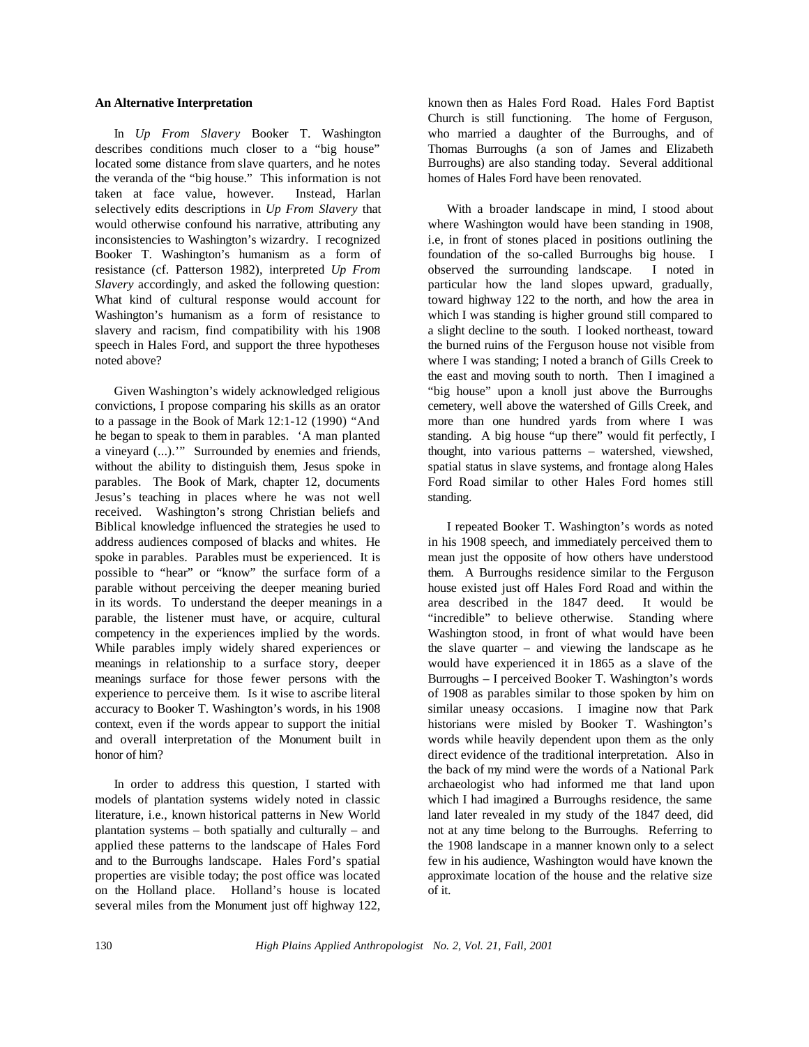#### **An Alternative Interpretation**

In *Up From Slavery* Booker T. Washington describes conditions much closer to a "big house" located some distance from slave quarters, and he notes the veranda of the "big house." This information is not taken at face value, however. Instead, Harlan selectively edits descriptions in *Up From Slavery* that would otherwise confound his narrative, attributing any inconsistencies to Washington's wizardry. I recognized Booker T. Washington's humanism as a form of resistance (cf. Patterson 1982), interpreted *Up From Slavery* accordingly, and asked the following question: What kind of cultural response would account for Washington's humanism as a form of resistance to slavery and racism, find compatibility with his 1908 speech in Hales Ford, and support the three hypotheses noted above?

Given Washington's widely acknowledged religious convictions, I propose comparing his skills as an orator to a passage in the Book of Mark 12:1-12 (1990) "And he began to speak to them in parables. 'A man planted a vineyard (...).'" Surrounded by enemies and friends, without the ability to distinguish them, Jesus spoke in parables. The Book of Mark, chapter 12, documents Jesus's teaching in places where he was not well received. Washington's strong Christian beliefs and Biblical knowledge influenced the strategies he used to address audiences composed of blacks and whites. He spoke in parables. Parables must be experienced. It is possible to "hear" or "know" the surface form of a parable without perceiving the deeper meaning buried in its words. To understand the deeper meanings in a parable, the listener must have, or acquire, cultural competency in the experiences implied by the words. While parables imply widely shared experiences or meanings in relationship to a surface story, deeper meanings surface for those fewer persons with the experience to perceive them. Is it wise to ascribe literal accuracy to Booker T. Washington's words, in his 1908 context, even if the words appear to support the initial and overall interpretation of the Monument built in honor of him?

In order to address this question, I started with models of plantation systems widely noted in classic literature, i.e., known historical patterns in New World plantation systems – both spatially and culturally – and applied these patterns to the landscape of Hales Ford and to the Burroughs landscape. Hales Ford's spatial properties are visible today; the post office was located on the Holland place. Holland's house is located several miles from the Monument just off highway 122, known then as Hales Ford Road. Hales Ford Baptist Church is still functioning. The home of Ferguson, who married a daughter of the Burroughs, and of Thomas Burroughs (a son of James and Elizabeth Burroughs) are also standing today. Several additional homes of Hales Ford have been renovated.

With a broader landscape in mind, I stood about where Washington would have been standing in 1908, i.e, in front of stones placed in positions outlining the foundation of the so-called Burroughs big house. I observed the surrounding landscape. I noted in particular how the land slopes upward, gradually, toward highway 122 to the north, and how the area in which I was standing is higher ground still compared to a slight decline to the south. I looked northeast, toward the burned ruins of the Ferguson house not visible from where I was standing; I noted a branch of Gills Creek to the east and moving south to north. Then I imagined a "big house" upon a knoll just above the Burroughs cemetery, well above the watershed of Gills Creek, and more than one hundred yards from where I was standing. A big house "up there" would fit perfectly, I thought, into various patterns – watershed, viewshed, spatial status in slave systems, and frontage along Hales Ford Road similar to other Hales Ford homes still standing.

I repeated Booker T. Washington's words as noted in his 1908 speech, and immediately perceived them to mean just the opposite of how others have understood them. A Burroughs residence similar to the Ferguson house existed just off Hales Ford Road and within the area described in the 1847 deed. It would be "incredible" to believe otherwise. Standing where Washington stood, in front of what would have been the slave quarter – and viewing the landscape as he would have experienced it in 1865 as a slave of the Burroughs – I perceived Booker T. Washington's words of 1908 as parables similar to those spoken by him on similar uneasy occasions. I imagine now that Park historians were misled by Booker T. Washington's words while heavily dependent upon them as the only direct evidence of the traditional interpretation. Also in the back of my mind were the words of a National Park archaeologist who had informed me that land upon which I had imagined a Burroughs residence, the same land later revealed in my study of the 1847 deed, did not at any time belong to the Burroughs. Referring to the 1908 landscape in a manner known only to a select few in his audience, Washington would have known the approximate location of the house and the relative size of it.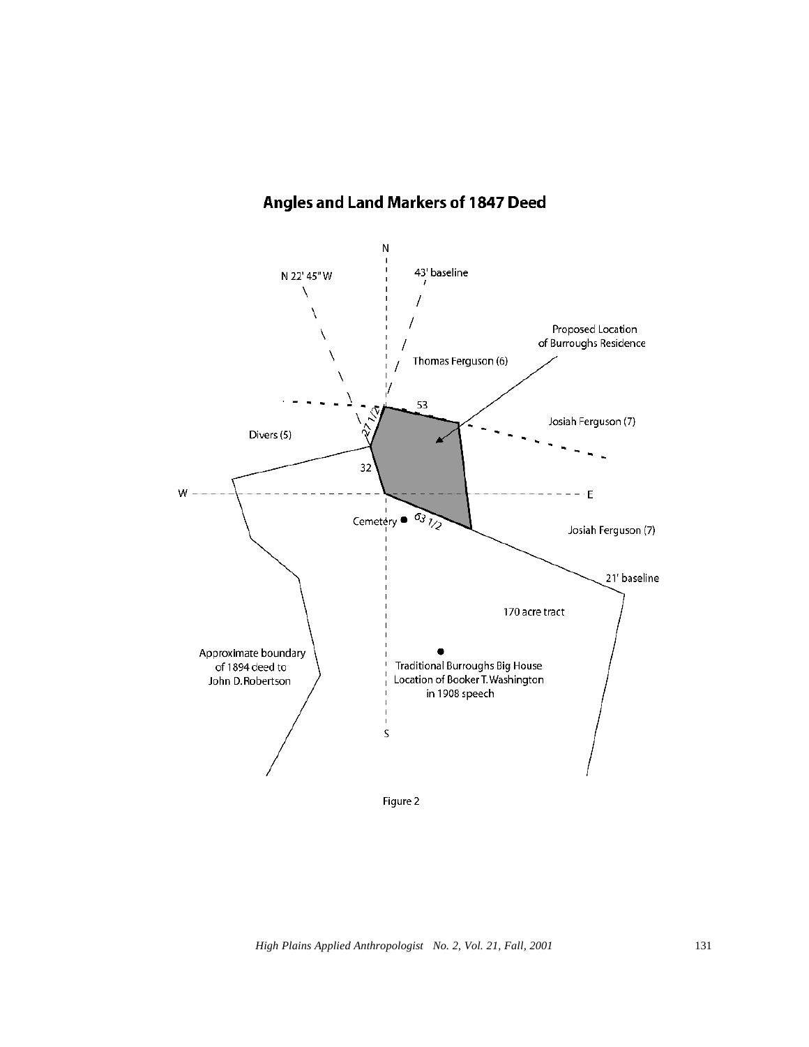# Angles and Land Markers of 1847 Deed

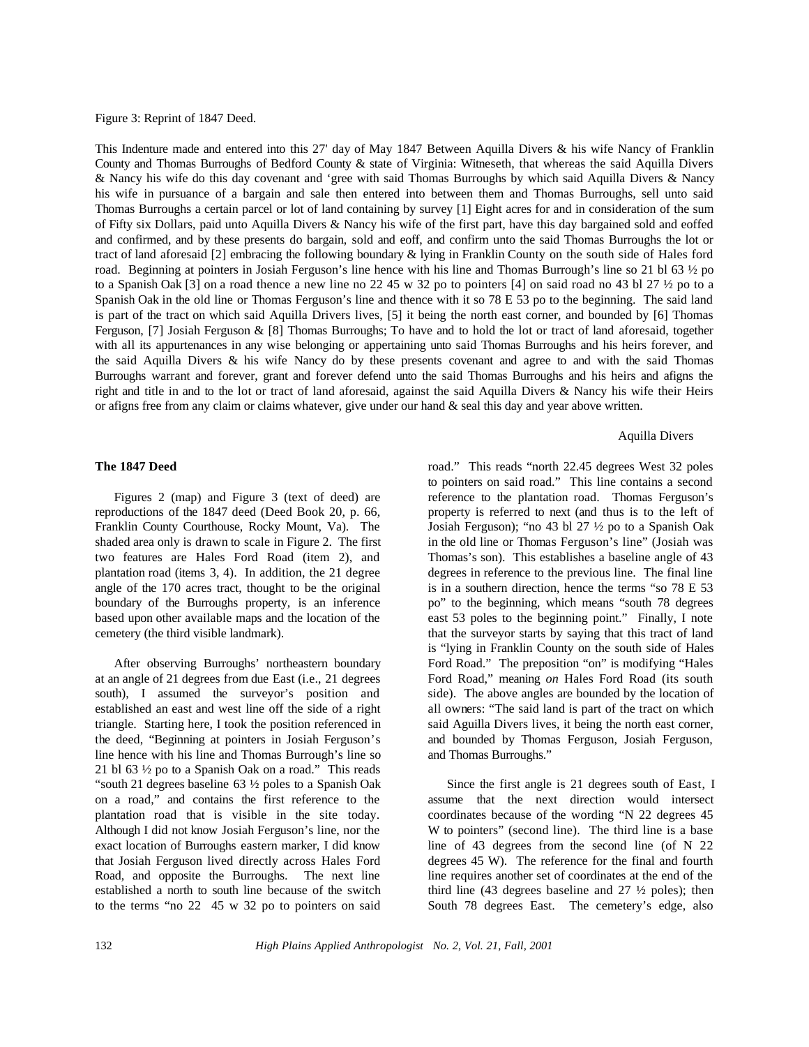Figure 3: Reprint of 1847 Deed.

This Indenture made and entered into this 27' day of May 1847 Between Aquilla Divers & his wife Nancy of Franklin County and Thomas Burroughs of Bedford County & state of Virginia: Witneseth, that whereas the said Aquilla Divers & Nancy his wife do this day covenant and 'gree with said Thomas Burroughs by which said Aquilla Divers & Nancy his wife in pursuance of a bargain and sale then entered into between them and Thomas Burroughs, sell unto said Thomas Burroughs a certain parcel or lot of land containing by survey [1] Eight acres for and in consideration of the sum of Fifty six Dollars, paid unto Aquilla Divers & Nancy his wife of the first part, have this day bargained sold and eoffed and confirmed, and by these presents do bargain, sold and eoff, and confirm unto the said Thomas Burroughs the lot or tract of land aforesaid [2] embracing the following boundary & lying in Franklin County on the south side of Hales ford road. Beginning at pointers in Josiah Ferguson's line hence with his line and Thomas Burrough's line so 21 bl 63 ½ po to a Spanish Oak [3] on a road thence a new line no 22 45 w 32 po to pointers [4] on said road no 43 bl 27 ½ po to a Spanish Oak in the old line or Thomas Ferguson's line and thence with it so 78 E 53 po to the beginning. The said land is part of the tract on which said Aquilla Drivers lives, [5] it being the north east corner, and bounded by [6] Thomas Ferguson, [7] Josiah Ferguson & [8] Thomas Burroughs; To have and to hold the lot or tract of land aforesaid, together with all its appurtenances in any wise belonging or appertaining unto said Thomas Burroughs and his heirs forever, and the said Aquilla Divers & his wife Nancy do by these presents covenant and agree to and with the said Thomas Burroughs warrant and forever, grant and forever defend unto the said Thomas Burroughs and his heirs and afigns the right and title in and to the lot or tract of land aforesaid, against the said Aquilla Divers & Nancy his wife their Heirs or afigns free from any claim or claims whatever, give under our hand & seal this day and year above written.

#### Aquilla Divers

### **The 1847 Deed**

Figures 2 (map) and Figure 3 (text of deed) are reproductions of the 1847 deed (Deed Book 20, p. 66, Franklin County Courthouse, Rocky Mount, Va). The shaded area only is drawn to scale in Figure 2. The first two features are Hales Ford Road (item 2), and plantation road (items 3, 4). In addition, the 21 degree angle of the 170 acres tract, thought to be the original boundary of the Burroughs property, is an inference based upon other available maps and the location of the cemetery (the third visible landmark).

After observing Burroughs' northeastern boundary at an angle of 21 degrees from due East (i.e., 21 degrees south), I assumed the surveyor's position and established an east and west line off the side of a right triangle. Starting here, I took the position referenced in the deed, "Beginning at pointers in Josiah Ferguson's line hence with his line and Thomas Burrough's line so 21 bl 63 ½ po to a Spanish Oak on a road." This reads "south 21 degrees baseline 63 ½ poles to a Spanish Oak on a road," and contains the first reference to the plantation road that is visible in the site today. Although I did not know Josiah Ferguson's line, nor the exact location of Burroughs eastern marker, I did know that Josiah Ferguson lived directly across Hales Ford Road, and opposite the Burroughs. The next line established a north to south line because of the switch to the terms "no 22 45 w 32 po to pointers on said road." This reads "north 22.45 degrees West 32 poles to pointers on said road." This line contains a second reference to the plantation road. Thomas Ferguson's property is referred to next (and thus is to the left of Josiah Ferguson); "no 43 bl 27 ½ po to a Spanish Oak in the old line or Thomas Ferguson's line" (Josiah was Thomas's son). This establishes a baseline angle of 43 degrees in reference to the previous line. The final line is in a southern direction, hence the terms "so 78 E 53 po" to the beginning, which means "south 78 degrees east 53 poles to the beginning point." Finally, I note that the surveyor starts by saying that this tract of land is "lying in Franklin County on the south side of Hales Ford Road." The preposition "on" is modifying "Hales Ford Road," meaning *on* Hales Ford Road (its south side). The above angles are bounded by the location of all owners: "The said land is part of the tract on which said Aguilla Divers lives, it being the north east corner, and bounded by Thomas Ferguson, Josiah Ferguson, and Thomas Burroughs."

Since the first angle is 21 degrees south of East, I assume that the next direction would intersect coordinates because of the wording "N 22 degrees 45 W to pointers" (second line). The third line is a base line of 43 degrees from the second line (of N 22 degrees 45 W). The reference for the final and fourth line requires another set of coordinates at the end of the third line (43 degrees baseline and  $27 \frac{1}{2}$  poles); then South 78 degrees East. The cemetery's edge, also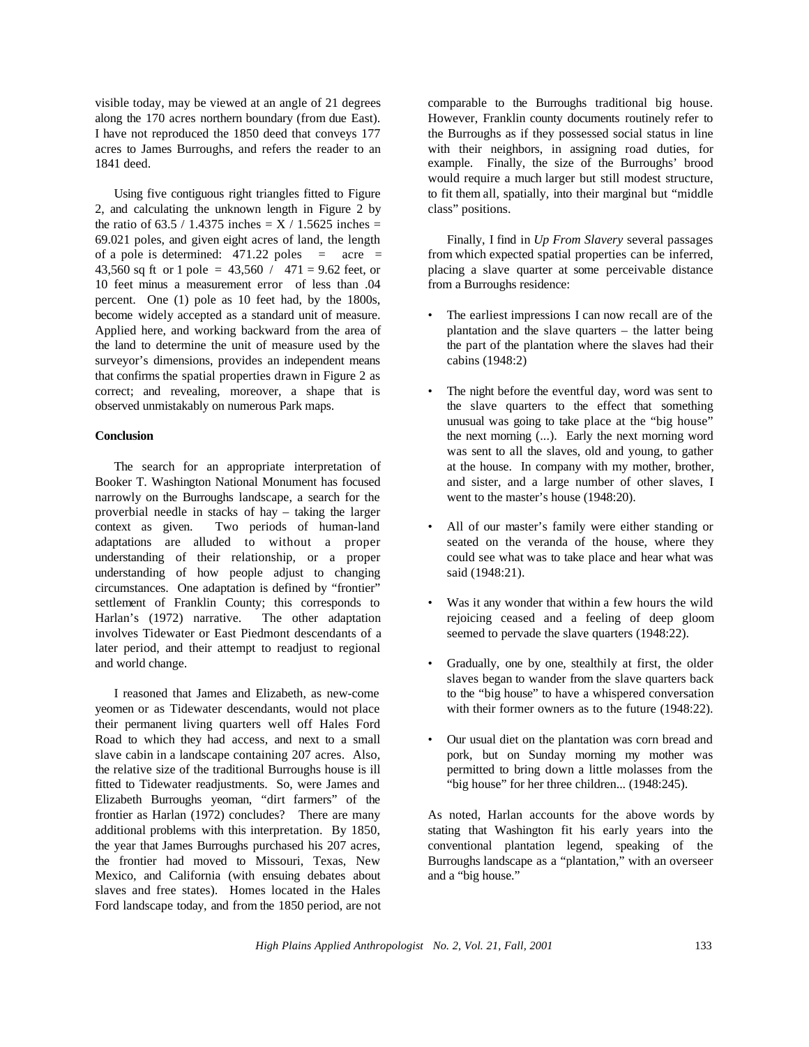visible today, may be viewed at an angle of 21 degrees along the 170 acres northern boundary (from due East). I have not reproduced the 1850 deed that conveys 177 acres to James Burroughs, and refers the reader to an 1841 deed.

Using five contiguous right triangles fitted to Figure 2, and calculating the unknown length in Figure 2 by the ratio of 63.5 / 1.4375 inches  $= X / 1.5625$  inches  $=$ 69.021 poles, and given eight acres of land, the length of a pole is determined:  $471.22$  poles = acre = 43,560 sq ft or 1 pole =  $43,560 / 471 = 9.62$  feet, or 10 feet minus a measurement error of less than .04 percent. One (1) pole as 10 feet had, by the 1800s, become widely accepted as a standard unit of measure. Applied here, and working backward from the area of the land to determine the unit of measure used by the surveyor's dimensions, provides an independent means that confirms the spatial properties drawn in Figure 2 as correct; and revealing, moreover, a shape that is observed unmistakably on numerous Park maps.

### **Conclusion**

The search for an appropriate interpretation of Booker T. Washington National Monument has focused narrowly on the Burroughs landscape, a search for the proverbial needle in stacks of hay – taking the larger context as given. Two periods of human-land adaptations are alluded to without a proper understanding of their relationship, or a proper understanding of how people adjust to changing circumstances. One adaptation is defined by "frontier" settlement of Franklin County; this corresponds to Harlan's (1972) narrative. The other adaptation involves Tidewater or East Piedmont descendants of a later period, and their attempt to readjust to regional and world change.

I reasoned that James and Elizabeth, as new-come yeomen or as Tidewater descendants, would not place their permanent living quarters well off Hales Ford Road to which they had access, and next to a small slave cabin in a landscape containing 207 acres. Also, the relative size of the traditional Burroughs house is ill fitted to Tidewater readjustments. So, were James and Elizabeth Burroughs yeoman, "dirt farmers" of the frontier as Harlan (1972) concludes? There are many additional problems with this interpretation. By 1850, the year that James Burroughs purchased his 207 acres, the frontier had moved to Missouri, Texas, New Mexico, and California (with ensuing debates about slaves and free states). Homes located in the Hales Ford landscape today, and from the 1850 period, are not comparable to the Burroughs traditional big house. However, Franklin county documents routinely refer to the Burroughs as if they possessed social status in line with their neighbors, in assigning road duties, for example. Finally, the size of the Burroughs' brood would require a much larger but still modest structure, to fit them all, spatially, into their marginal but "middle class" positions.

Finally, I find in *Up From Slavery* several passages from which expected spatial properties can be inferred, placing a slave quarter at some perceivable distance from a Burroughs residence:

- The earliest impressions I can now recall are of the plantation and the slave quarters – the latter being the part of the plantation where the slaves had their cabins (1948:2)
- The night before the eventful day, word was sent to the slave quarters to the effect that something unusual was going to take place at the "big house" the next morning (...). Early the next morning word was sent to all the slaves, old and young, to gather at the house. In company with my mother, brother, and sister, and a large number of other slaves, I went to the master's house (1948:20).
- All of our master's family were either standing or seated on the veranda of the house, where they could see what was to take place and hear what was said (1948:21).
- Was it any wonder that within a few hours the wild rejoicing ceased and a feeling of deep gloom seemed to pervade the slave quarters (1948:22).
- Gradually, one by one, stealthily at first, the older slaves began to wander from the slave quarters back to the "big house" to have a whispered conversation with their former owners as to the future (1948:22).
- Our usual diet on the plantation was corn bread and pork, but on Sunday morning my mother was permitted to bring down a little molasses from the "big house" for her three children... (1948:245).

As noted, Harlan accounts for the above words by stating that Washington fit his early years into the conventional plantation legend, speaking of the Burroughs landscape as a "plantation," with an overseer and a "big house."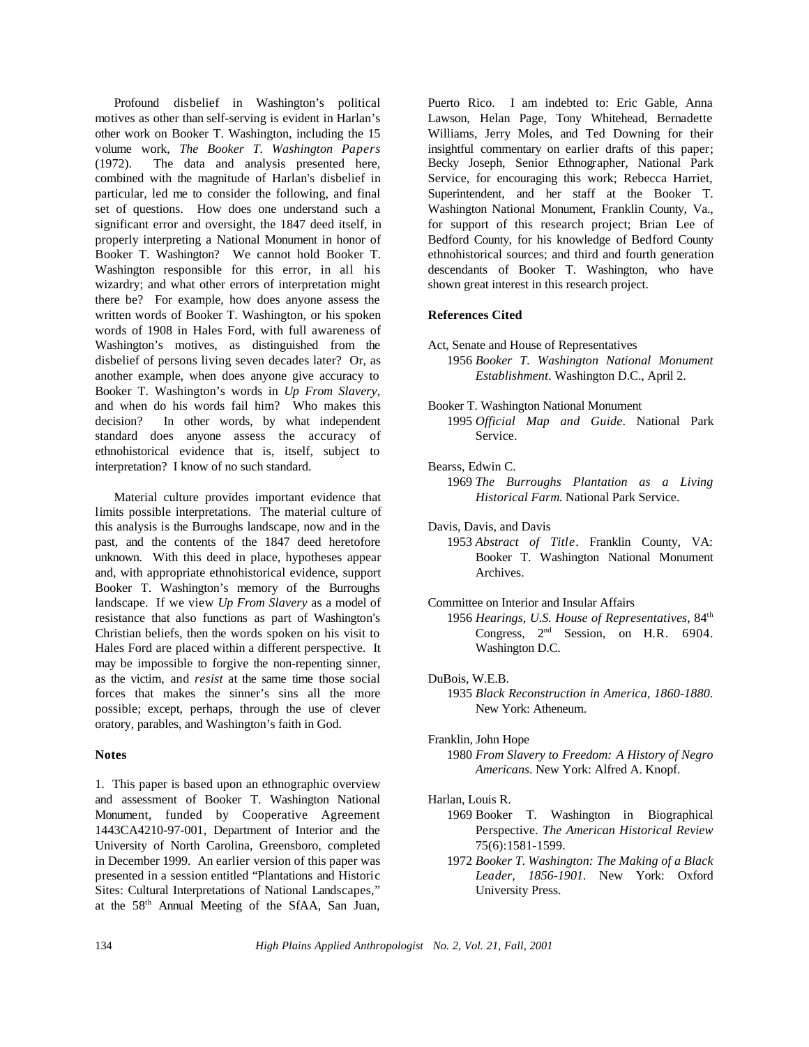Profound disbelief in Washington's political motives as other than self-serving is evident in Harlan's other work on Booker T. Washington, including the 15 volume work, *The Booker T. Washington Papers* (1972). The data and analysis presented here, combined with the magnitude of Harlan's disbelief in particular, led me to consider the following, and final set of questions. How does one understand such a significant error and oversight, the 1847 deed itself, in properly interpreting a National Monument in honor of Booker T. Washington? We cannot hold Booker T. Washington responsible for this error, in all his wizardry; and what other errors of interpretation might there be? For example, how does anyone assess the written words of Booker T. Washington, or his spoken words of 1908 in Hales Ford, with full awareness of Washington's motives, as distinguished from the disbelief of persons living seven decades later? Or, as another example, when does anyone give accuracy to Booker T. Washington's words in *Up From Slavery*, and when do his words fail him? Who makes this decision? In other words, by what independent standard does anyone assess the accuracy of ethnohistorical evidence that is, itself, subject to interpretation? I know of no such standard.

Material culture provides important evidence that limits possible interpretations. The material culture of this analysis is the Burroughs landscape, now and in the past, and the contents of the 1847 deed heretofore unknown. With this deed in place, hypotheses appear and, with appropriate ethnohistorical evidence, support Booker T. Washington's memory of the Burroughs landscape. If we view *Up From Slavery* as a model of resistance that also functions as part of Washington's Christian beliefs, then the words spoken on his visit to Hales Ford are placed within a different perspective. It may be impossible to forgive the non-repenting sinner, as the victim, and *resist* at the same time those social forces that makes the sinner's sins all the more possible; except, perhaps, through the use of clever oratory, parables, and Washington's faith in God.

# **Notes**

1. This paper is based upon an ethnographic overview and assessment of Booker T. Washington National Monument, funded by Cooperative Agreement 1443CA4210-97-001, Department of Interior and the University of North Carolina, Greensboro, completed in December 1999. An earlier version of this paper was presented in a session entitled "Plantations and Historic Sites: Cultural Interpretations of National Landscapes," at the 58th Annual Meeting of the SfAA, San Juan,

Puerto Rico. I am indebted to: Eric Gable, Anna Lawson, Helan Page, Tony Whitehead, Bernadette Williams, Jerry Moles, and Ted Downing for their insightful commentary on earlier drafts of this paper; Becky Joseph, Senior Ethnographer, National Park Service, for encouraging this work; Rebecca Harriet, Superintendent, and her staff at the Booker T. Washington National Monument, Franklin County, Va., for support of this research project; Brian Lee of Bedford County, for his knowledge of Bedford County ethnohistorical sources; and third and fourth generation descendants of Booker T. Washington, who have shown great interest in this research project.

# **References Cited**

- Act, Senate and House of Representatives 1956 *Booker T. Washington National Monument Establishment*. Washington D.C., April 2.
- Booker T. Washington National Monument 1995 *Official Map and Guide*. National Park Service.
- Bearss, Edwin C.
	- 1969 *The Burroughs Plantation as a Living Historical Farm*. National Park Service.
- Davis, Davis, and Davis 1953 *Abstract of Title*. Franklin County, VA: Booker T. Washington National Monument Archives.

Committee on Interior and Insular Affairs

- 1956 *Hearings, U.S. House of Representatives*, 84th Congress,  $2<sup>nd</sup>$  Session, on H.R. 6904. Washington D.C.
- DuBois, W.E.B. 1935 *Black Reconstruction in America, 1860-1880.* New York: Atheneum.
- Franklin, John Hope
	- 1980 *From Slavery to Freedom: A History of Negro Americans*. New York: Alfred A. Knopf.

#### Harlan, Louis R.

- 1969 Booker T. Washington in Biographical Perspective. *The American Historical Review* 75(6):1581-1599.
- 1972 *Booker T. Washington: The Making of a Black Leader, 1856-1901.* New York: Oxford University Press.